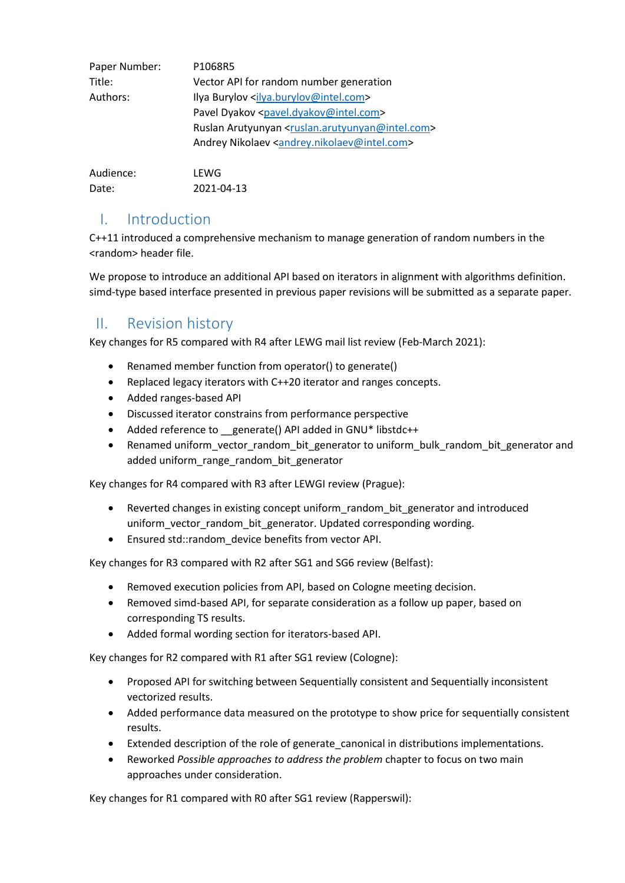| Paper Number: | P1068R5                                                                       |  |  |
|---------------|-------------------------------------------------------------------------------|--|--|
| Title:        | Vector API for random number generation                                       |  |  |
| Authors:      | Ilya Burylov <ilya.burylov@intel.com></ilya.burylov@intel.com>                |  |  |
|               | Pavel Dyakov <pavel.dyakov@intel.com></pavel.dyakov@intel.com>                |  |  |
|               | Ruslan Arutyunyan <ruslan.arutyunyan@intel.com></ruslan.arutyunyan@intel.com> |  |  |
|               | Andrey Nikolaev <andrey.nikolaev@intel.com></andrey.nikolaev@intel.com>       |  |  |
|               |                                                                               |  |  |

| Audience: | LEWG       |  |
|-----------|------------|--|
| Date:     | 2021-04-13 |  |

# I. Introduction

C++11 introduced a comprehensive mechanism to manage generation of random numbers in the <random> header file.

We propose to introduce an additional API based on iterators in alignment with algorithms definition. simd-type based interface presented in previous paper revisions will be submitted as a separate paper.

# II. Revision history

Key changes for R5 compared with R4 after LEWG mail list review (Feb-March 2021):

- Renamed member function from operator() to generate()
- Replaced legacy iterators with C++20 iterator and ranges concepts.
- Added ranges-based API
- Discussed iterator constrains from performance perspective
- Added reference to generate() API added in GNU\* libstdc++
- Renamed uniform vector random bit generator to uniform bulk random bit generator and added uniform\_range\_random\_bit\_generator

Key changes for R4 compared with R3 after LEWGI review (Prague):

- Reverted changes in existing concept uniform\_random\_bit\_generator and introduced uniform\_vector\_random\_bit\_generator. Updated corresponding wording.
- Ensured std::random\_device benefits from vector API.

Key changes for R3 compared with R2 after SG1 and SG6 review (Belfast):

- Removed execution policies from API, based on Cologne meeting decision.
- Removed simd-based API, for separate consideration as a follow up paper, based on corresponding TS results.
- Added formal wording section for iterators-based API.

Key changes for R2 compared with R1 after SG1 review (Cologne):

- Proposed API for switching between Sequentially consistent and Sequentially inconsistent vectorized results.
- Added performance data measured on the prototype to show price for sequentially consistent results.
- Extended description of the role of generate\_canonical in distributions implementations.
- Reworked *Possible approaches to address the problem* chapter to focus on two main approaches under consideration.

Key changes for R1 compared with R0 after SG1 review (Rapperswil):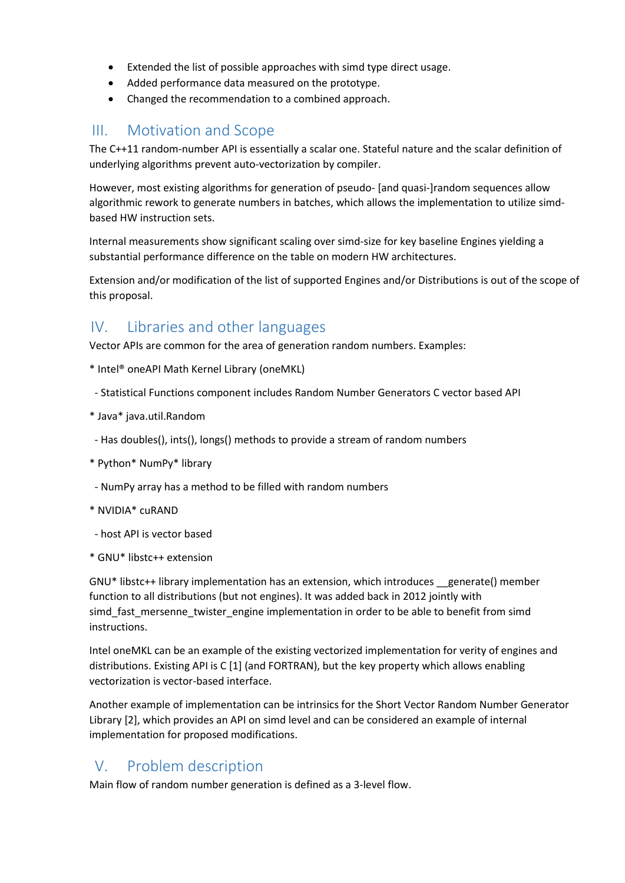- Extended the list of possible approaches with simd type direct usage.
- Added performance data measured on the prototype.
- Changed the recommendation to a combined approach.

# III. Motivation and Scope

The C++11 random-number API is essentially a scalar one. Stateful nature and the scalar definition of underlying algorithms prevent auto-vectorization by compiler.

However, most existing algorithms for generation of pseudo- [and quasi-]random sequences allow algorithmic rework to generate numbers in batches, which allows the implementation to utilize simdbased HW instruction sets.

Internal measurements show significant scaling over simd-size for key baseline Engines yielding a substantial performance difference on the table on modern HW architectures.

Extension and/or modification of the list of supported Engines and/or Distributions is out of the scope of this proposal.

# IV. Libraries and other languages

Vector APIs are common for the area of generation random numbers. Examples:

- \* Intel® oneAPI Math Kernel Library (oneMKL)
- Statistical Functions component includes Random Number Generators C vector based API
- \* Java\* java.util.Random
- Has doubles(), ints(), longs() methods to provide a stream of random numbers
- \* Python\* NumPy\* library
- NumPy array has a method to be filled with random numbers
- \* NVIDIA\* cuRAND
- host API is vector based
- \* GNU\* libstc++ extension

GNU\* libstc++ library implementation has an extension, which introduces \_\_generate() member function to all distributions (but not engines). It was added back in 2012 jointly with simd fast mersenne twister engine implementation in order to be able to benefit from simd instructions.

Intel oneMKL can be an example of the existing vectorized implementation for verity of engines and distributions. Existing API is C [1] (and FORTRAN), but the key property which allows enabling vectorization is vector-based interface.

Another example of implementation can be intrinsics for the Short Vector Random Number Generator Library [2], which provides an API on simd level and can be considered an example of internal implementation for proposed modifications.

## V. Problem description

Main flow of random number generation is defined as a 3-level flow.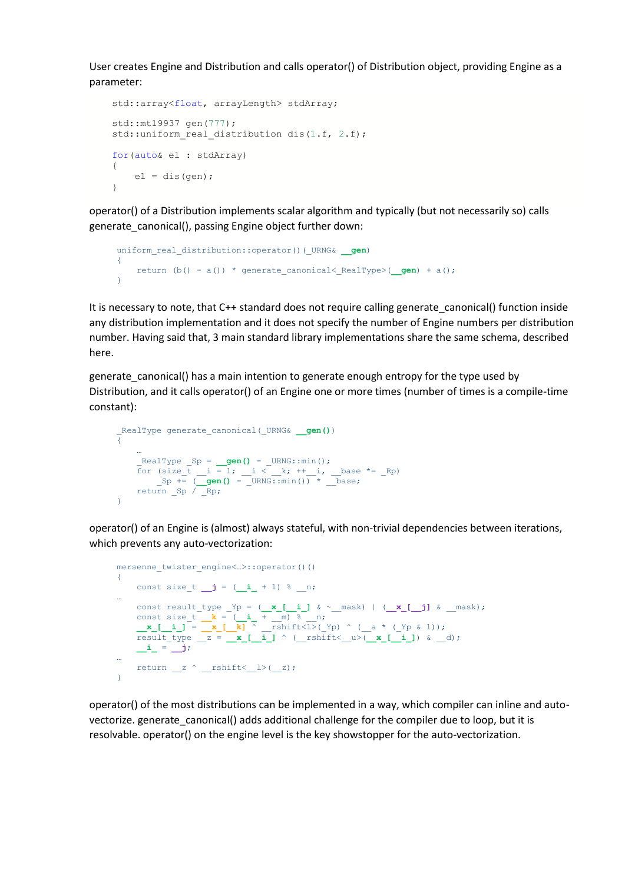User creates Engine and Distribution and calls operator() of Distribution object, providing Engine as a parameter:

```
 std::array<float, arrayLength> stdArray;
 std::mt19937 gen(777);
std::uniform real distribution dis(1.f, 2.f);
 for(auto& el : stdArray)
 {
    el = dis(qen); }
```
operator() of a Distribution implements scalar algorithm and typically (but not necessarily so) calls generate\_canonical(), passing Engine object further down:

```
uniform real distribution::operator()(URNG& qen)
{
    return (b() - a()) * generate canonical< RealType>( gen) + a();
}
```
It is necessary to note, that C++ standard does not require calling generate\_canonical() function inside any distribution implementation and it does not specify the number of Engine numbers per distribution number. Having said that, 3 main standard library implementations share the same schema, described here.

generate\_canonical() has a main intention to generate enough entropy for the type used by Distribution, and it calls operator() of an Engine one or more times (number of times is a compile-time constant):

```
RealType generate canonical(URNG& _gen())
{
   …
    _RealType _Sp = __gen() - _URNG::min();
   for (size t i = 1; i < k; ++ i, base *= Rp)
       Sp == (gen() - URNG::min()) * base;return Sp / Rp;
}
```
operator() of an Engine is (almost) always stateful, with non-trivial dependencies between iterations, which prevents any auto-vectorization:

```
mersenne twister engine<...>::operator()()
\left\{ \right.const size t \ j = (-i + 1) \n;
…
    const result type Yp = (\mathbf{x} [i] \&~ \text{mask}) + (\mathbf{x} [j] \& ~\text{mask});const size t k = (i + m) % n;
    x [i] = x [k] ^ rshift <1>(Yp) ^ (_a * (Yp & 1));
    result type z = x [i] ^ (r \sinh f t \sinh f) (x [i]) \& d);__i_ = __j;
…
   return z \wedge __rshift<__l>(__z);
}
```
operator() of the most distributions can be implemented in a way, which compiler can inline and autovectorize. generate\_canonical() adds additional challenge for the compiler due to loop, but it is resolvable. operator() on the engine level is the key showstopper for the auto-vectorization.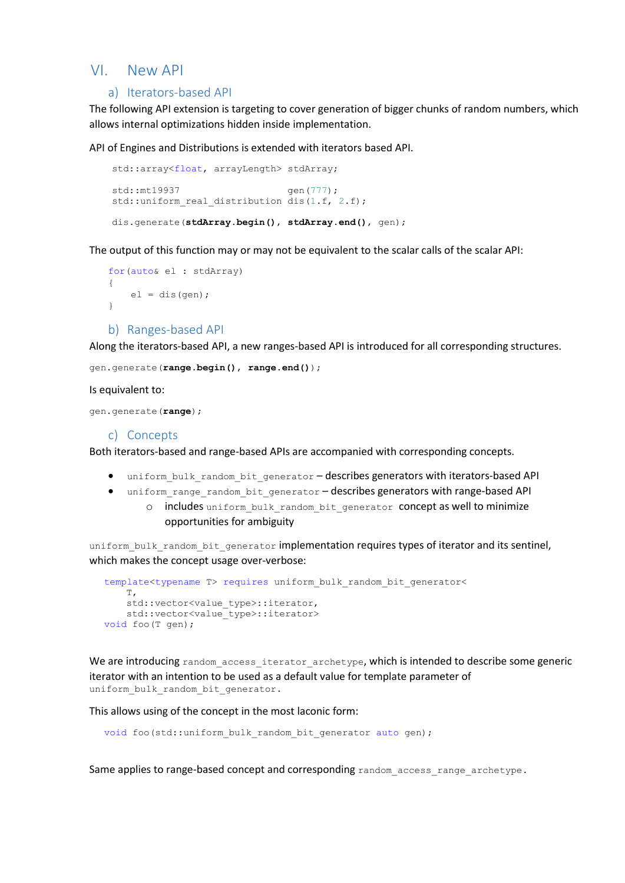### VI. New API

#### a) Iterators-based API

The following API extension is targeting to cover generation of bigger chunks of random numbers, which allows internal optimizations hidden inside implementation.

API of Engines and Distributions is extended with iterators based API.

```
 std::array<float, arrayLength> stdArray;
 std::mt19937 gen(777);
std::uniform real distribution dis(1.f, 2.f);
```
dis.generate(**stdArray.begin()**, **stdArray.end()**, gen);

The output of this function may or may not be equivalent to the scalar calls of the scalar API:

```
for(auto& el : stdArray)
{
   el = dis(qen);}
```
b) Ranges-based API

Along the iterators-based API, a new ranges-based API is introduced for all corresponding structures.

gen.generate(**range.begin()**, **range.end()**);

Is equivalent to:

gen.generate(**range**);

#### c) Concepts

Both iterators-based and range-based APIs are accompanied with corresponding concepts.

- uniform bulk random bit generator describes generators with iterators-based API
- uniform range random bit generator describes generators with range-based API o includes uniform bulk random bit generator concept as well to minimize opportunities for ambiguity

uniform bulk random bit generator implementation requires types of iterator and its sentinel, which makes the concept usage over-verbose:

```
template<typename T> requires uniform bulk random bit generator<
   T,
   std::vector<value type>::iterator,
   std::vector<value type>::iterator>
void foo(T gen);
```
We are introducing random\_access\_iterator\_archetype, which is intended to describe some generic iterator with an intention to be used as a default value for template parameter of uniform bulk random bit generator.

This allows using of the concept in the most laconic form:

void foo(std::uniform bulk random bit generator auto gen);

Same applies to range-based concept and corresponding random access range archetype.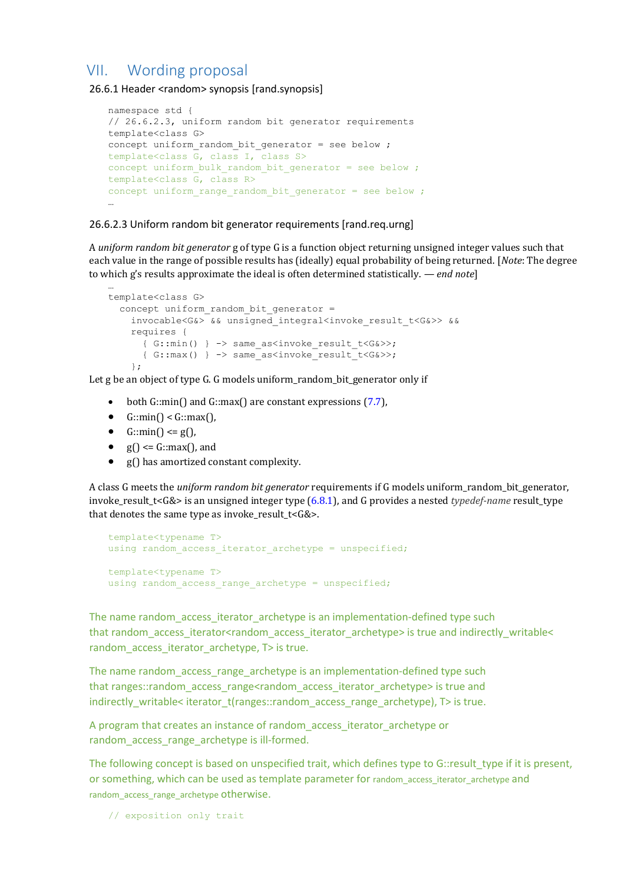## VII. Wording proposal

26.6.1 Header <random> synopsis [rand.synopsis]

```
namespace std {
// 26.6.2.3, uniform random bit generator requirements
template<class G>
concept uniform random bit generator = see below ;
template<class G, class I, class S>
concept uniform bulk random bit generator = see below ;
template<class G, class R>
concept uniform range random bit generator = see below ;
…
```
26.6.2.3 Uniform random bit generator requirements [rand.req.urng]

A *uniform random bit generator* g of type G is a function object returning unsigned integer values such that each value in the range of possible results has (ideally) equal probability of being returned. [*Note*: The degree to which g's results approximate the ideal is often determined statistically. *— end note*]

```
template<class G>
 concept uniform random bit generator = invocable<G&> && unsigned_integral<invoke_result_t<G&>> &&
     requires {
      { G::min() } -> same_as<invoke_result_t<G&>>;
       { G::max() } -> same_as<invoke_result_t<G&>>;
     };
```
Let g be an object of type G. G models uniform random bit generator only if

- both G::min() and G::max() are constant expressions (7.7),
- $G::min() < G::max()$ ,
- $G::min() \le g()$ ,

…

- $g() \leq G::max()$ , and
- g() has amortized constant complexity.

A class G meets the *uniform random bit generator* requirements if G models uniform\_random\_bit\_generator, invoke\_result\_t<G&> is an unsigned integer type (6.8.1), and G provides a nested *typedef-name* result\_type that denotes the same type as invoke result  $t < G>$ .

```
template<typename T>
using random access iterator archetype = unspecified;
template<typename T>
using random access range archetype = unspecified;
```
The name random access iterator archetype is an implementation-defined type such that random access iterator<random access iterator archetype> is true and indirectly writable< random access iterator archetype, T> is true.

The name random access range archetype is an implementation-defined type such that ranges::random\_access\_range<random\_access\_iterator\_archetype> is true and indirectly writable< iterator t(ranges::random\_access\_range\_archetype), T> is true.

A program that creates an instance of random access iterator archetype or random\_access\_range\_archetype is ill-formed.

The following concept is based on unspecified trait, which defines type to G::result\_type if it is present, or something, which can be used as template parameter for random access iterator archetype and random access range archetype otherwise.

```
// exposition only trait
```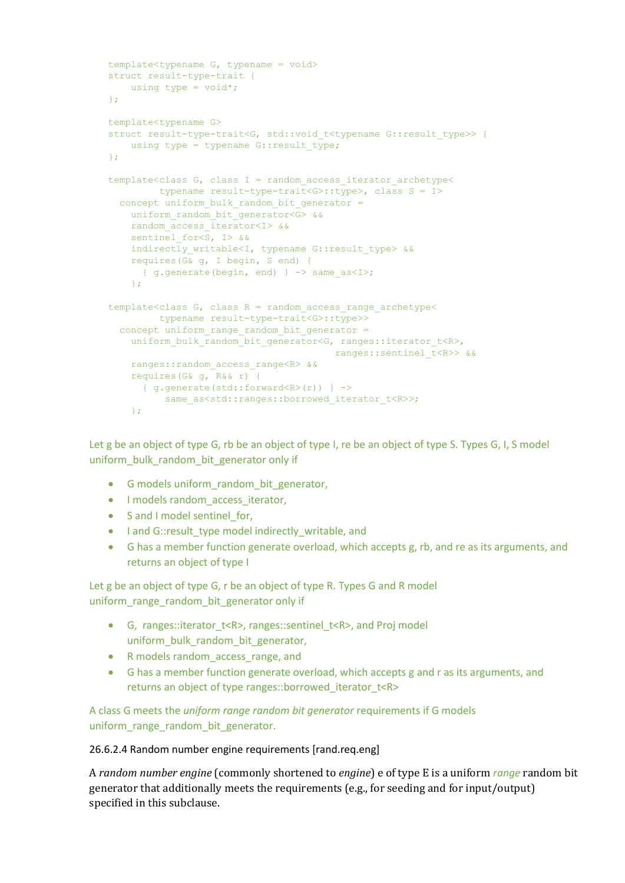```
template<typename G, typename = void>
struct result-type-trait {
   using type = void*;
};
template<typename G>
struct result-type-trait<G, std::void t<typename G::result type>> {
   using type = typename G::result type;
};
template<class G, class I = random_access_iterator_archetype<
         typename result-type-trait<G>::type>, class S = I>
 concept uniform bulk random bit generator =
   uniform random bit generator<G> &&
    random_access_iterator<I> &&
   sentinel for<S, I> &&
   indirectly writable<I, typename G::result type> &&
    requires(G& g, I begin, S end) {
     { q. generate (begin, end) } -> same as < I>;
    };
template<class G, class R = random access range archetype<
         typename result-type-trait<G>::type>>
 concept uniform range random bit generator =uniform bulk random bit generator<G, ranges::iterator t<R>,
                                         ranges::sentinel_t<R>> &&
    ranges::random_access_range<R> &&
    requires(G& g, R&& r) {
      { g.generate(std::forward<R>(r)) } ->
         same as<std::ranges::borrowed iterator t<R>>;
    };
```
Let g be an object of type G, rb be an object of type I, re be an object of type S. Types G, I, S model uniform bulk random bit generator only if

- G models uniform\_random\_bit\_generator,
- I models random access iterator,
- S and I model sentinel for,
- I and G::result type model indirectly writable, and
- G has a member function generate overload, which accepts g, rb, and re as its arguments, and returns an object of type I

Let g be an object of type G, r be an object of type R. Types G and R model uniform range random bit generator only if

- G, ranges::iterator\_t<R>, ranges::sentinel\_t<R>, and Proj model uniform bulk random bit generator,
- R models random access range, and
- G has a member function generate overload, which accepts g and r as its arguments, and returns an object of type ranges::borrowed\_iterator\_t<R>

A class G meets the *uniform range random bit generator* requirements if G models uniform\_range\_random\_bit\_generator.

#### 26.6.2.4 Random number engine requirements [rand.req.eng]

A *random number engine* (commonly shortened to *engine*) e of type E is a uniform *range* random bit generator that additionally meets the requirements (e.g., for seeding and for input/output) specified in this subclause.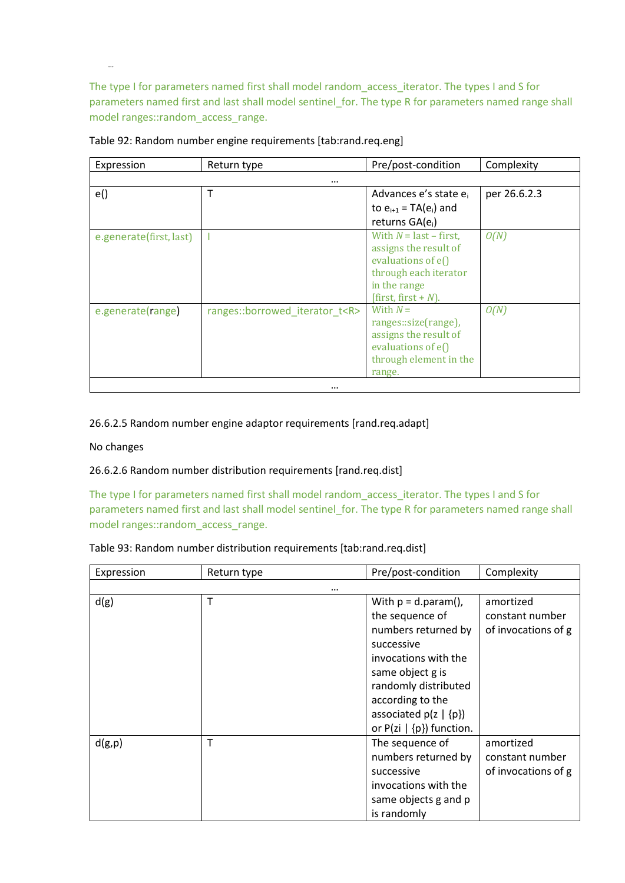The type I for parameters named first shall model random access iterator. The types I and S for parameters named first and last shall model sentinel for. The type R for parameters named range shall model ranges::random\_access\_range.

| Return type                         | Pre/post-condition                                                                                                                           | Complexity   |
|-------------------------------------|----------------------------------------------------------------------------------------------------------------------------------------------|--------------|
| $\cdots$                            |                                                                                                                                              |              |
| T                                   | Advances e's state e                                                                                                                         | per 26.6.2.3 |
|                                     | to $e_{i+1}$ = TA( $e_i$ ) and                                                                                                               |              |
|                                     | returns $GA(e_i)$                                                                                                                            |              |
|                                     | With $N =$ last – first,<br>assigns the result of<br>evaluations of $e()$<br>through each iterator<br>in the range<br>[first, first + $N$ ). | O(N)         |
| ranges::borrowed_iterator_t <r></r> | With $N =$<br>ranges::size(range),<br>assigns the result of<br>evaluations of $e()$<br>through element in the<br>range.                      | O(N)         |
|                                     |                                                                                                                                              |              |

Table 92: Random number engine requirements [tab:rand.req.eng]

26.6.2.5 Random number engine adaptor requirements [rand.req.adapt]

#### No changes

…

#### 26.6.2.6 Random number distribution requirements [rand.req.dist]

The type I for parameters named first shall model random\_access\_iterator. The types I and S for parameters named first and last shall model sentinel\_for. The type R for parameters named range shall model ranges::random\_access\_range.

| Table 93: Random number distribution requirements [tab:rand.req.dist] |  |  |  |
|-----------------------------------------------------------------------|--|--|--|
|-----------------------------------------------------------------------|--|--|--|

| Expression | Return type  | Pre/post-condition                                                                                                                                                                                                             | Complexity                                          |
|------------|--------------|--------------------------------------------------------------------------------------------------------------------------------------------------------------------------------------------------------------------------------|-----------------------------------------------------|
|            |              | $\cdots$                                                                                                                                                                                                                       |                                                     |
| d(g)       | $\mathsf{T}$ | With $p = d$ param(),<br>the sequence of<br>numbers returned by<br>successive<br>invocations with the<br>same object g is<br>randomly distributed<br>according to the<br>associated $p(z   {p})$<br>or $P(zi   {p})$ function. | amortized<br>constant number<br>of invocations of g |
| d(g,p)     | T            | The sequence of<br>numbers returned by<br>successive<br>invocations with the<br>same objects g and p<br>is randomly                                                                                                            | amortized<br>constant number<br>of invocations of g |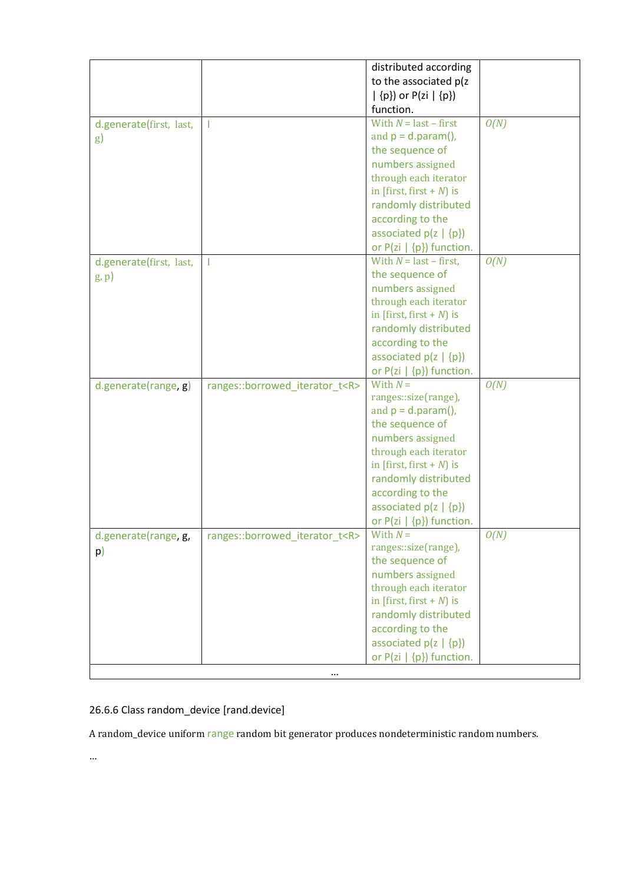|                         |                                     | distributed according                     |      |
|-------------------------|-------------------------------------|-------------------------------------------|------|
|                         |                                     | to the associated p(z                     |      |
|                         |                                     | $  {p} \rangle$ or P(zi $  {p} \rangle$ ) |      |
|                         |                                     | function.<br>With $N =$ last – first      |      |
| d.generate(first, last, | $\mathbf{I}$                        |                                           | O(N) |
| g)                      |                                     | and $p = d$ . param(),                    |      |
|                         |                                     | the sequence of                           |      |
|                         |                                     | numbers assigned<br>through each iterator |      |
|                         |                                     | in [first, first + $N$ ] is               |      |
|                         |                                     | randomly distributed                      |      |
|                         |                                     | according to the                          |      |
|                         |                                     | associated $p(z   {p})$                   |      |
|                         |                                     | or $P(zi   {p})$ function.                |      |
| d.generate(first, last, | T                                   | With $N =$ last – first,                  | O(N) |
| (g, p)                  |                                     | the sequence of                           |      |
|                         |                                     | numbers assigned                          |      |
|                         |                                     | through each iterator                     |      |
|                         |                                     | in [first, first + $N$ ] is               |      |
|                         |                                     | randomly distributed                      |      |
|                         |                                     | according to the                          |      |
|                         |                                     | associated $p(z   {p})$                   |      |
|                         |                                     | or $P(zi   {p})$ function.                |      |
| d.generate(range, g)    | ranges::borrowed_iterator_t <r></r> | With $N =$                                | O(N) |
|                         |                                     | ranges::size(range),                      |      |
|                         |                                     | and $p = d$ . param(),                    |      |
|                         |                                     | the sequence of                           |      |
|                         |                                     | numbers assigned                          |      |
|                         |                                     | through each iterator                     |      |
|                         |                                     | in [first, first + $N$ ] is               |      |
|                         |                                     | randomly distributed                      |      |
|                         |                                     | according to the                          |      |
|                         |                                     | associated $p(z   {p})$                   |      |
|                         |                                     | or $P(zi   {p})$ function.                |      |
| d.generate(range, g,    | ranges::borrowed_iterator_t <r></r> | With $N =$                                | O(N) |
| p)                      |                                     | ranges::size(range),<br>the sequence of   |      |
|                         |                                     | numbers assigned                          |      |
|                         |                                     | through each iterator                     |      |
|                         |                                     | in [first, first + $N$ ] is               |      |
|                         |                                     | randomly distributed                      |      |
|                         |                                     | according to the                          |      |
|                         |                                     | associated $p(z   {p})$                   |      |
|                         |                                     | or $P(\text{zi}   \{p\})$ function.       |      |
|                         |                                     |                                           |      |

## 26.6.6 Class random\_device [rand.device]

A random\_device uniform range random bit generator produces nondeterministic random numbers.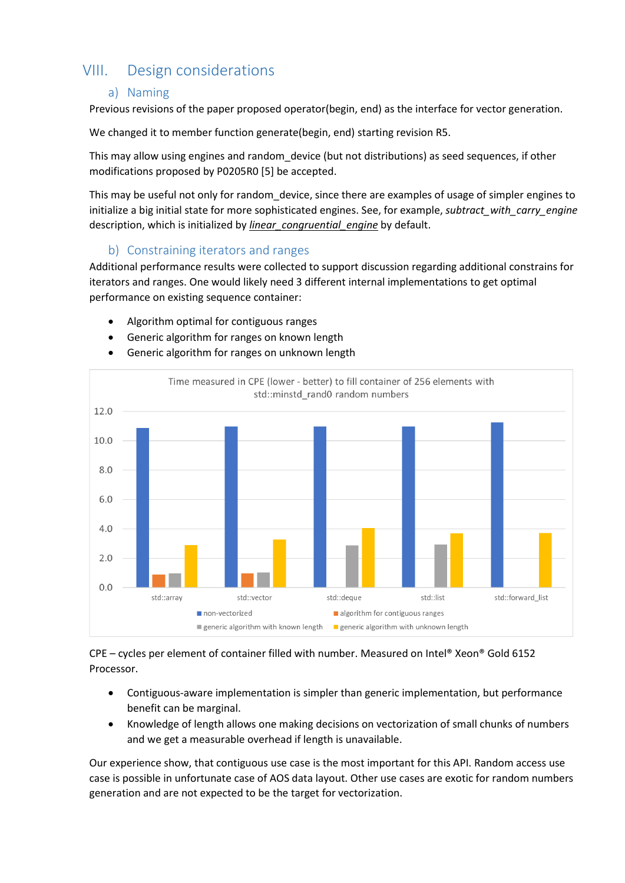# VIII. Design considerations

### a) Naming

Previous revisions of the paper proposed operator(begin, end) as the interface for vector generation.

We changed it to member function generate(begin, end) starting revision R5.

This may allow using engines and random\_device (but not distributions) as seed sequences, if other modifications proposed by P0205R0 [5] be accepted.

This may be useful not only for random\_device, since there are examples of usage of simpler engines to initialize a big initial state for more sophisticated engines. See, for example, *subtract\_with\_carry\_engine* description, which is initialized by *linear\_congruential\_engine* by default.

## b) Constraining iterators and ranges

Additional performance results were collected to support discussion regarding additional constrains for iterators and ranges. One would likely need 3 different internal implementations to get optimal performance on existing sequence container:

- Algorithm optimal for contiguous ranges
- Generic algorithm for ranges on known length
- Time measured in CPE (lower better) to fill container of 256 elements with std::minstd rand0 random numbers  $12.0$  $10.0$ 8.0  $6.0$  $4.0$  $2.0$  $0.0$ std::array std::list std::vector std::deaue std::forward list non-vectorized algorithm for contiguous ranges generic algorithm with known length generic algorithm with unknown length
- Generic algorithm for ranges on unknown length

 $CPE - cycles$  per element of container filled with number. Measured on Intel® Xeon® Gold 6152 Processor.

- Contiguous-aware implementation is simpler than generic implementation, but performance benefit can be marginal.
- Knowledge of length allows one making decisions on vectorization of small chunks of numbers and we get a measurable overhead if length is unavailable.

Our experience show, that contiguous use case is the most important for this API. Random access use case is possible in unfortunate case of AOS data layout. Other use cases are exotic for random numbers generation and are not expected to be the target for vectorization.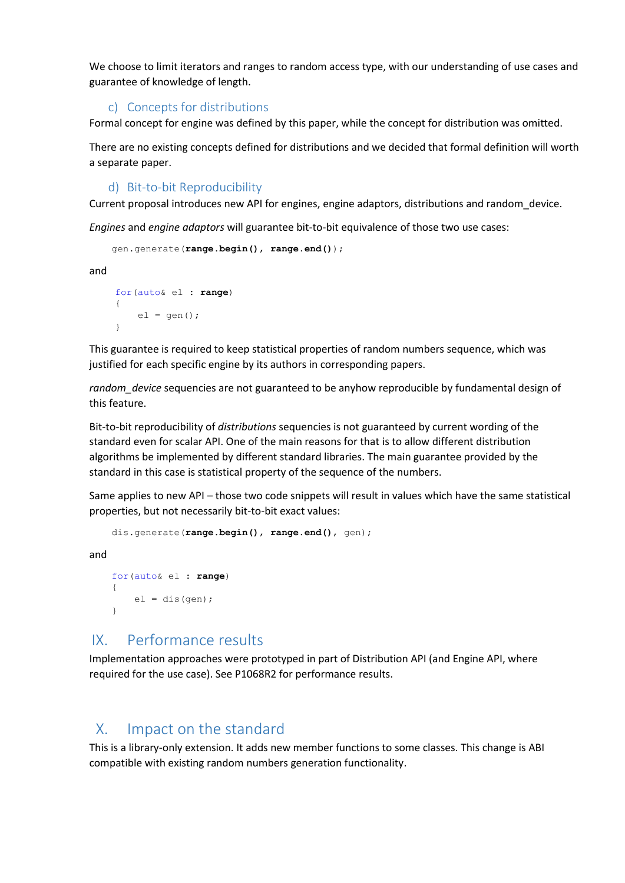We choose to limit iterators and ranges to random access type, with our understanding of use cases and guarantee of knowledge of length.

### c) Concepts for distributions

Formal concept for engine was defined by this paper, while the concept for distribution was omitted.

There are no existing concepts defined for distributions and we decided that formal definition will worth a separate paper.

### d) Bit-to-bit Reproducibility

Current proposal introduces new API for engines, engine adaptors, distributions and random\_device.

*Engines* and *engine adaptors* will guarantee bit-to-bit equivalence of those two use cases:

```
gen.generate(range.begin(), range.end());
```
and

```
for(auto& el : range)
{
    el = gen();}
```
This guarantee is required to keep statistical properties of random numbers sequence, which was justified for each specific engine by its authors in corresponding papers.

*random\_device* sequencies are not guaranteed to be anyhow reproducible by fundamental design of this feature.

Bit-to-bit reproducibility of *distributions* sequencies is not guaranteed by current wording of the standard even for scalar API. One of the main reasons for that is to allow different distribution algorithms be implemented by different standard libraries. The main guarantee provided by the standard in this case is statistical property of the sequence of the numbers.

Same applies to new API – those two code snippets will result in values which have the same statistical properties, but not necessarily bit-to-bit exact values:

```
dis.generate(range.begin(), range.end(), gen);
```
and

```
for(auto& el : range)
{
    el = dis(qen);}
```
## IX. Performance results

Implementation approaches were prototyped in part of Distribution API (and Engine API, where required for the use case). See P1068R2 for performance results.

# X. Impact on the standard

This is a library-only extension. It adds new member functions to some classes. This change is ABI compatible with existing random numbers generation functionality.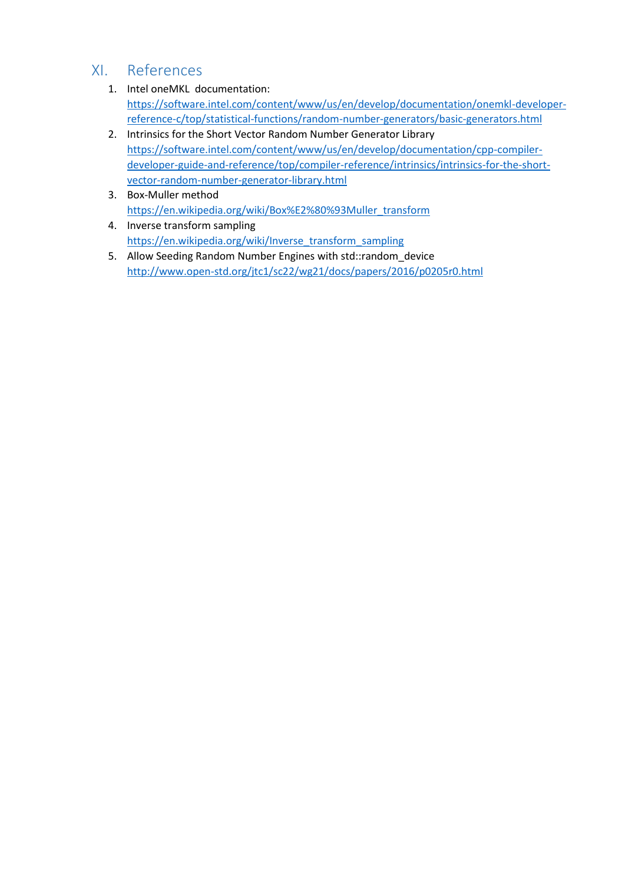# XI. References

- 1. Intel oneMKL documentation: [https://software.intel.com/content/www/us/en/develop/documentation/onemkl-developer](https://software.intel.com/content/www/us/en/develop/documentation/onemkl-developer-reference-c/top/statistical-functions/random-number-generators/basic-generators.html)[reference-c/top/statistical-functions/random-number-generators/basic-generators.html](https://software.intel.com/content/www/us/en/develop/documentation/onemkl-developer-reference-c/top/statistical-functions/random-number-generators/basic-generators.html)
- 2. Intrinsics for the Short Vector Random Number Generator Library [https://software.intel.com/content/www/us/en/develop/documentation/cpp-compiler](https://software.intel.com/content/www/us/en/develop/documentation/cpp-compiler-developer-guide-and-reference/top/compiler-reference/intrinsics/intrinsics-for-the-short-vector-random-number-generator-library.html)[developer-guide-and-reference/top/compiler-reference/intrinsics/intrinsics-for-the-short](https://software.intel.com/content/www/us/en/develop/documentation/cpp-compiler-developer-guide-and-reference/top/compiler-reference/intrinsics/intrinsics-for-the-short-vector-random-number-generator-library.html)[vector-random-number-generator-library.html](https://software.intel.com/content/www/us/en/develop/documentation/cpp-compiler-developer-guide-and-reference/top/compiler-reference/intrinsics/intrinsics-for-the-short-vector-random-number-generator-library.html)
- 3. Box-Muller method [https://en.wikipedia.org/wiki/Box%E2%80%93Muller\\_transform](https://en.wikipedia.org/wiki/Box%E2%80%93Muller_transform)
- 4. Inverse transform sampling [https://en.wikipedia.org/wiki/Inverse\\_transform\\_sampling](https://en.wikipedia.org/wiki/Inverse_transform_sampling)
- 5. Allow Seeding Random Number Engines with std::random\_device <http://www.open-std.org/jtc1/sc22/wg21/docs/papers/2016/p0205r0.html>